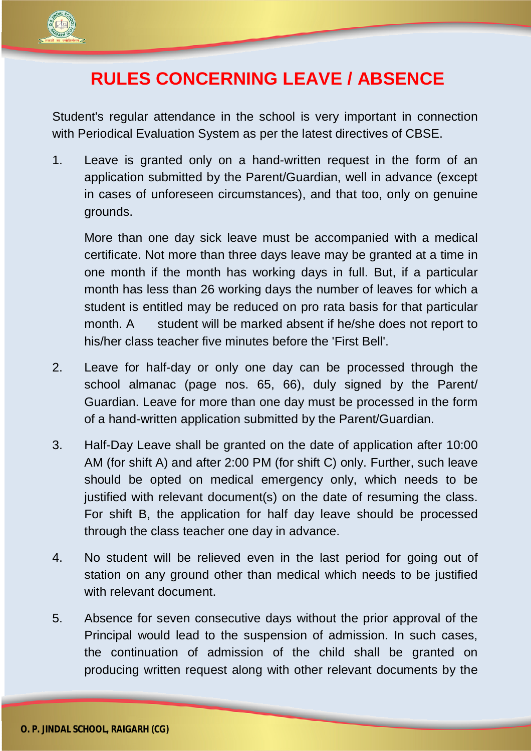

## **RULES CONCERNING LEAVE / ABSENCE**

Student's regular attendance in the school is very important in connection with Periodical Evaluation System as per the latest directives of CBSE.

1. Leave is granted only on a hand-written request in the form of an application submitted by the Parent/Guardian, well in advance (except in cases of unforeseen circumstances), and that too, only on genuine grounds.

More than one day sick leave must be accompanied with a medical certificate. Not more than three days leave may be granted at a time in one month if the month has working days in full. But, if a particular month has less than 26 working days the number of leaves for which a student is entitled may be reduced on pro rata basis for that particular month. A student will be marked absent if he/she does not report to his/her class teacher five minutes before the 'First Bell'.

- 2. Leave for half-day or only one day can be processed through the school almanac (page nos. 65, 66), duly signed by the Parent/ Guardian. Leave for more than one day must be processed in the form of a hand-written application submitted by the Parent/Guardian.
- 3. Half-Day Leave shall be granted on the date of application after 10:00 AM (for shift A) and after 2:00 PM (for shift C) only. Further, such leave should be opted on medical emergency only, which needs to be justified with relevant document(s) on the date of resuming the class. For shift B, the application for half day leave should be processed through the class teacher one day in advance.
- 4. No student will be relieved even in the last period for going out of station on any ground other than medical which needs to be justified with relevant document.
- 5. Absence for seven consecutive days without the prior approval of the Principal would lead to the suspension of admission. In such cases, the continuation of admission of the child shall be granted on producing written request along with other relevant documents by the